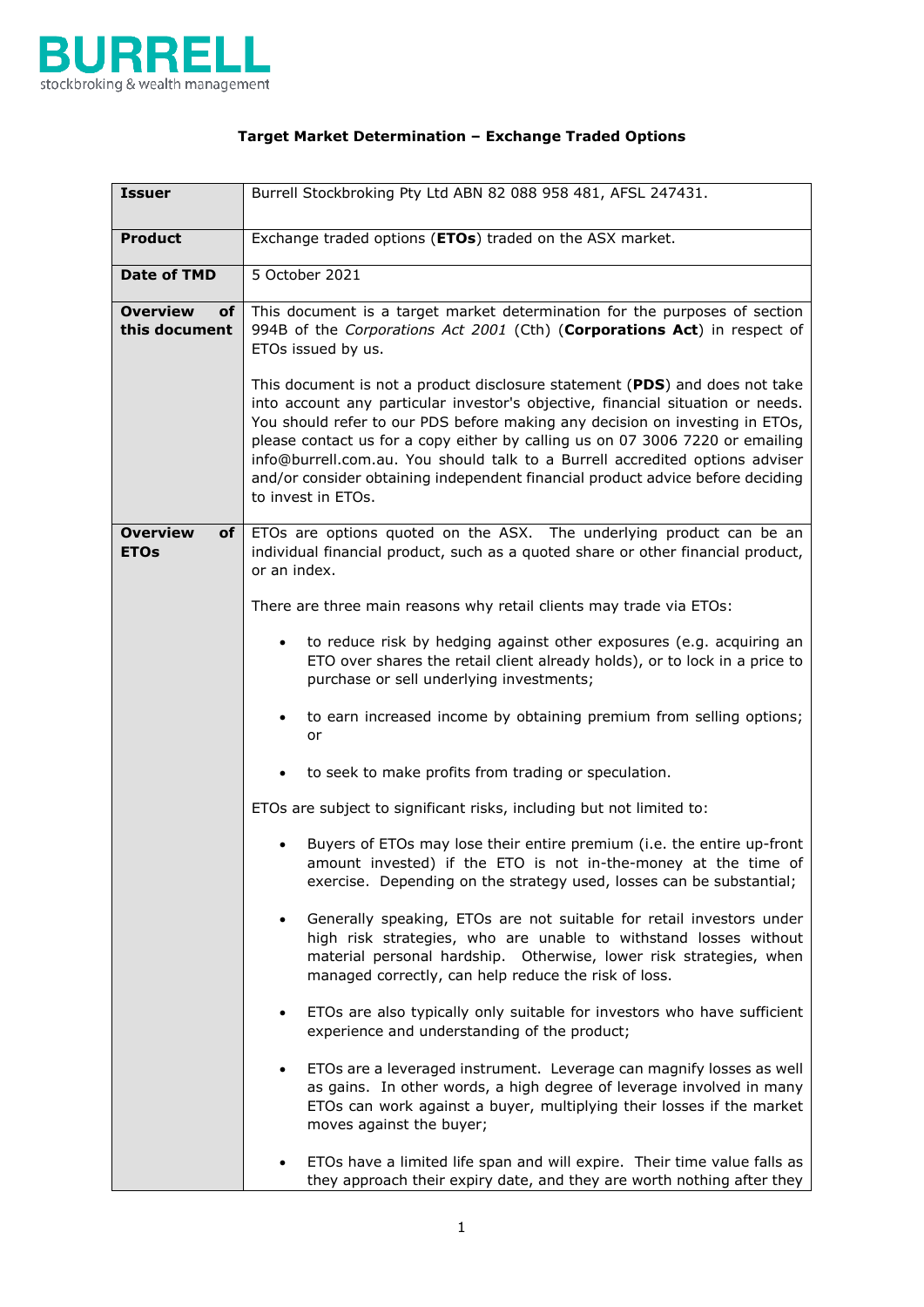

## **Target Market Determination – Exchange Traded Options**

| <b>Issuer</b>                          | Burrell Stockbroking Pty Ltd ABN 82 088 958 481, AFSL 247431.                                                                                                                                                                                                                                                                                                                                                                                                                                                           |
|----------------------------------------|-------------------------------------------------------------------------------------------------------------------------------------------------------------------------------------------------------------------------------------------------------------------------------------------------------------------------------------------------------------------------------------------------------------------------------------------------------------------------------------------------------------------------|
| <b>Product</b>                         | Exchange traded options (ETOs) traded on the ASX market.                                                                                                                                                                                                                                                                                                                                                                                                                                                                |
| <b>Date of TMD</b>                     | 5 October 2021                                                                                                                                                                                                                                                                                                                                                                                                                                                                                                          |
| <b>Overview</b><br>of<br>this document | This document is a target market determination for the purposes of section<br>994B of the Corporations Act 2001 (Cth) (Corporations Act) in respect of<br>ETOs issued by us.                                                                                                                                                                                                                                                                                                                                            |
|                                        | This document is not a product disclosure statement (PDS) and does not take<br>into account any particular investor's objective, financial situation or needs.<br>You should refer to our PDS before making any decision on investing in ETOs,<br>please contact us for a copy either by calling us on 07 3006 7220 or emailing<br>info@burrell.com.au. You should talk to a Burrell accredited options adviser<br>and/or consider obtaining independent financial product advice before deciding<br>to invest in ETOs. |
| <b>Overview</b><br>of<br><b>ETOs</b>   | ETOs are options quoted on the ASX. The underlying product can be an<br>individual financial product, such as a quoted share or other financial product,<br>or an index.                                                                                                                                                                                                                                                                                                                                                |
|                                        | There are three main reasons why retail clients may trade via ETOs:                                                                                                                                                                                                                                                                                                                                                                                                                                                     |
|                                        | to reduce risk by hedging against other exposures (e.g. acquiring an<br>$\bullet$<br>ETO over shares the retail client already holds), or to lock in a price to<br>purchase or sell underlying investments;                                                                                                                                                                                                                                                                                                             |
|                                        | to earn increased income by obtaining premium from selling options;<br>$\bullet$<br>or                                                                                                                                                                                                                                                                                                                                                                                                                                  |
|                                        | to seek to make profits from trading or speculation.<br>$\bullet$                                                                                                                                                                                                                                                                                                                                                                                                                                                       |
|                                        | ETOs are subject to significant risks, including but not limited to:                                                                                                                                                                                                                                                                                                                                                                                                                                                    |
|                                        | Buyers of ETOs may lose their entire premium (i.e. the entire up-front<br>amount invested) if the ETO is not in-the-money at the time of<br>exercise. Depending on the strategy used, losses can be substantial;                                                                                                                                                                                                                                                                                                        |
|                                        | Generally speaking, ETOs are not suitable for retail investors under<br>$\bullet$<br>high risk strategies, who are unable to withstand losses without<br>material personal hardship. Otherwise, lower risk strategies, when<br>managed correctly, can help reduce the risk of loss.                                                                                                                                                                                                                                     |
|                                        | ETOs are also typically only suitable for investors who have sufficient<br>$\bullet$<br>experience and understanding of the product;                                                                                                                                                                                                                                                                                                                                                                                    |
|                                        | ETOs are a leveraged instrument. Leverage can magnify losses as well<br>$\bullet$<br>as gains. In other words, a high degree of leverage involved in many<br>ETOs can work against a buyer, multiplying their losses if the market<br>moves against the buyer;                                                                                                                                                                                                                                                          |
|                                        | ETOs have a limited life span and will expire. Their time value falls as<br>they approach their expiry date, and they are worth nothing after they                                                                                                                                                                                                                                                                                                                                                                      |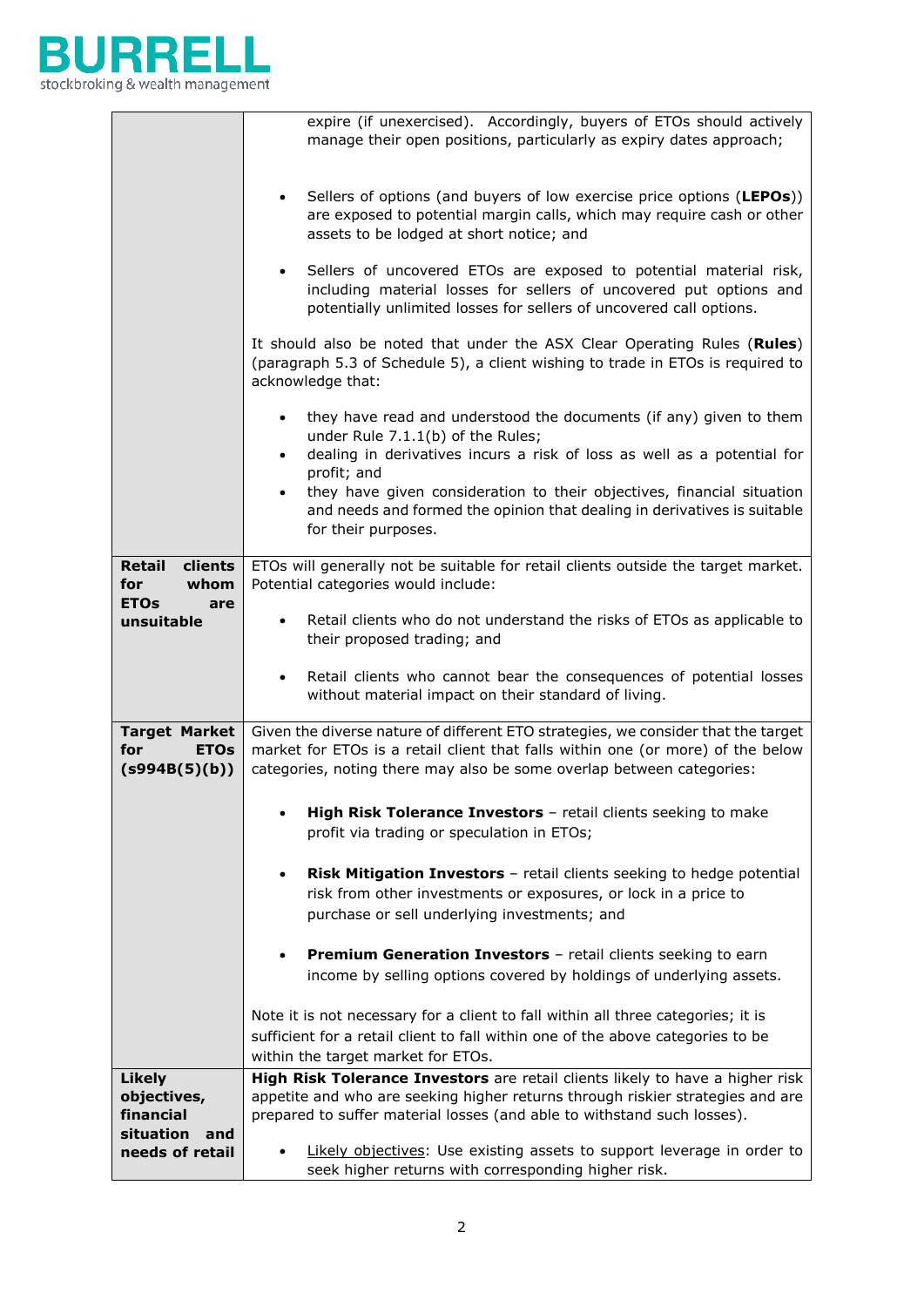

|                                                             | expire (if unexercised). Accordingly, buyers of ETOs should actively<br>manage their open positions, particularly as expiry dates approach;                                                                                                                                                                                                                                                    |
|-------------------------------------------------------------|------------------------------------------------------------------------------------------------------------------------------------------------------------------------------------------------------------------------------------------------------------------------------------------------------------------------------------------------------------------------------------------------|
|                                                             | Sellers of options (and buyers of low exercise price options (LEPOs))<br>$\bullet$<br>are exposed to potential margin calls, which may require cash or other<br>assets to be lodged at short notice; and                                                                                                                                                                                       |
|                                                             | Sellers of uncovered ETOs are exposed to potential material risk,<br>$\bullet$<br>including material losses for sellers of uncovered put options and<br>potentially unlimited losses for sellers of uncovered call options.                                                                                                                                                                    |
|                                                             | It should also be noted that under the ASX Clear Operating Rules (Rules)<br>(paragraph 5.3 of Schedule 5), a client wishing to trade in ETOs is required to<br>acknowledge that:                                                                                                                                                                                                               |
|                                                             | they have read and understood the documents (if any) given to them<br>$\bullet$<br>under Rule 7.1.1(b) of the Rules;<br>dealing in derivatives incurs a risk of loss as well as a potential for<br>$\bullet$<br>profit; and<br>they have given consideration to their objectives, financial situation<br>$\bullet$<br>and needs and formed the opinion that dealing in derivatives is suitable |
|                                                             | for their purposes.                                                                                                                                                                                                                                                                                                                                                                            |
| clients<br>Retail<br>whom<br>for                            | ETOs will generally not be suitable for retail clients outside the target market.<br>Potential categories would include:                                                                                                                                                                                                                                                                       |
| <b>ETOs</b><br>are<br>unsuitable                            | Retail clients who do not understand the risks of ETOs as applicable to<br>$\bullet$<br>their proposed trading; and                                                                                                                                                                                                                                                                            |
|                                                             | Retail clients who cannot bear the consequences of potential losses<br>$\bullet$<br>without material impact on their standard of living.                                                                                                                                                                                                                                                       |
| <b>Target Market</b><br>for<br><b>ETOs</b><br>(s994B(5)(b)) | Given the diverse nature of different ETO strategies, we consider that the target<br>market for ETOs is a retail client that falls within one (or more) of the below<br>categories, noting there may also be some overlap between categories:                                                                                                                                                  |
|                                                             | High Risk Tolerance Investors - retail clients seeking to make<br>profit via trading or speculation in ETOs;                                                                                                                                                                                                                                                                                   |
|                                                             | Risk Mitigation Investors - retail clients seeking to hedge potential<br>$\bullet$<br>risk from other investments or exposures, or lock in a price to<br>purchase or sell underlying investments; and                                                                                                                                                                                          |
|                                                             | <b>Premium Generation Investors</b> - retail clients seeking to earn<br>$\bullet$<br>income by selling options covered by holdings of underlying assets.                                                                                                                                                                                                                                       |
|                                                             | Note it is not necessary for a client to fall within all three categories; it is<br>sufficient for a retail client to fall within one of the above categories to be<br>within the target market for ETOs.                                                                                                                                                                                      |
| <b>Likely</b><br>objectives,                                | High Risk Tolerance Investors are retail clients likely to have a higher risk<br>appetite and who are seeking higher returns through riskier strategies and are                                                                                                                                                                                                                                |
| financial<br>situation<br>and                               | prepared to suffer material losses (and able to withstand such losses).                                                                                                                                                                                                                                                                                                                        |
| needs of retail                                             | Likely objectives: Use existing assets to support leverage in order to<br>$\bullet$<br>seek higher returns with corresponding higher risk.                                                                                                                                                                                                                                                     |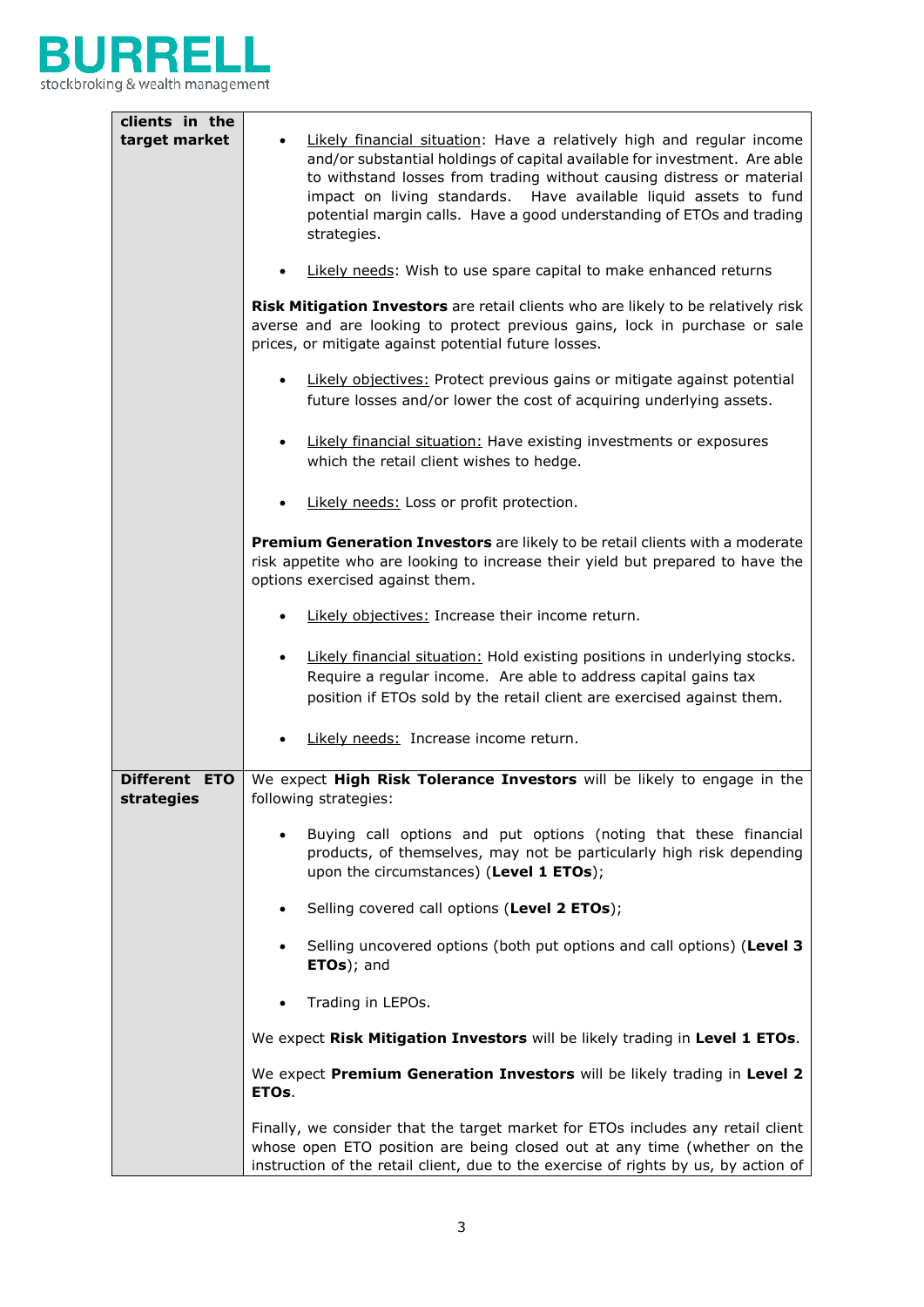

| clients in the              |                                                                                                                                                                                                                                                                                                                                                                                         |
|-----------------------------|-----------------------------------------------------------------------------------------------------------------------------------------------------------------------------------------------------------------------------------------------------------------------------------------------------------------------------------------------------------------------------------------|
| target market               | Likely financial situation: Have a relatively high and regular income<br>and/or substantial holdings of capital available for investment. Are able<br>to withstand losses from trading without causing distress or material<br>impact on living standards. Have available liquid assets to fund<br>potential margin calls. Have a good understanding of ETOs and trading<br>strategies. |
|                             | Likely needs: Wish to use spare capital to make enhanced returns                                                                                                                                                                                                                                                                                                                        |
|                             | Risk Mitigation Investors are retail clients who are likely to be relatively risk<br>averse and are looking to protect previous gains, lock in purchase or sale<br>prices, or mitigate against potential future losses.                                                                                                                                                                 |
|                             | Likely objectives: Protect previous gains or mitigate against potential<br>$\bullet$<br>future losses and/or lower the cost of acquiring underlying assets.                                                                                                                                                                                                                             |
|                             | Likely financial situation: Have existing investments or exposures<br>$\bullet$<br>which the retail client wishes to hedge.                                                                                                                                                                                                                                                             |
|                             | Likely needs: Loss or profit protection.                                                                                                                                                                                                                                                                                                                                                |
|                             | Premium Generation Investors are likely to be retail clients with a moderate<br>risk appetite who are looking to increase their yield but prepared to have the<br>options exercised against them.                                                                                                                                                                                       |
|                             | Likely objectives: Increase their income return.<br>$\bullet$                                                                                                                                                                                                                                                                                                                           |
|                             | Likely financial situation: Hold existing positions in underlying stocks.<br>$\bullet$<br>Require a regular income. Are able to address capital gains tax<br>position if ETOs sold by the retail client are exercised against them.                                                                                                                                                     |
|                             | Likely needs: Increase income return.                                                                                                                                                                                                                                                                                                                                                   |
| Different ETO<br>strategies | We expect High Risk Tolerance Investors will be likely to engage in the<br>following strategies:                                                                                                                                                                                                                                                                                        |
|                             | Buying call options and put options (noting that these financial<br>$\bullet$<br>products, of themselves, may not be particularly high risk depending<br>upon the circumstances) (Level 1 ETOs);                                                                                                                                                                                        |
|                             | Selling covered call options (Level 2 ETOs);<br>$\bullet$                                                                                                                                                                                                                                                                                                                               |
|                             | Selling uncovered options (both put options and call options) (Level 3<br>$\bullet$<br>ETOs); and                                                                                                                                                                                                                                                                                       |
|                             | Trading in LEPOs.                                                                                                                                                                                                                                                                                                                                                                       |
|                             | We expect Risk Mitigation Investors will be likely trading in Level 1 ETOs.                                                                                                                                                                                                                                                                                                             |
|                             | We expect Premium Generation Investors will be likely trading in Level 2<br>ETOs.                                                                                                                                                                                                                                                                                                       |
|                             | Finally, we consider that the target market for ETOs includes any retail client<br>whose open ETO position are being closed out at any time (whether on the<br>instruction of the retail client, due to the exercise of rights by us, by action of                                                                                                                                      |